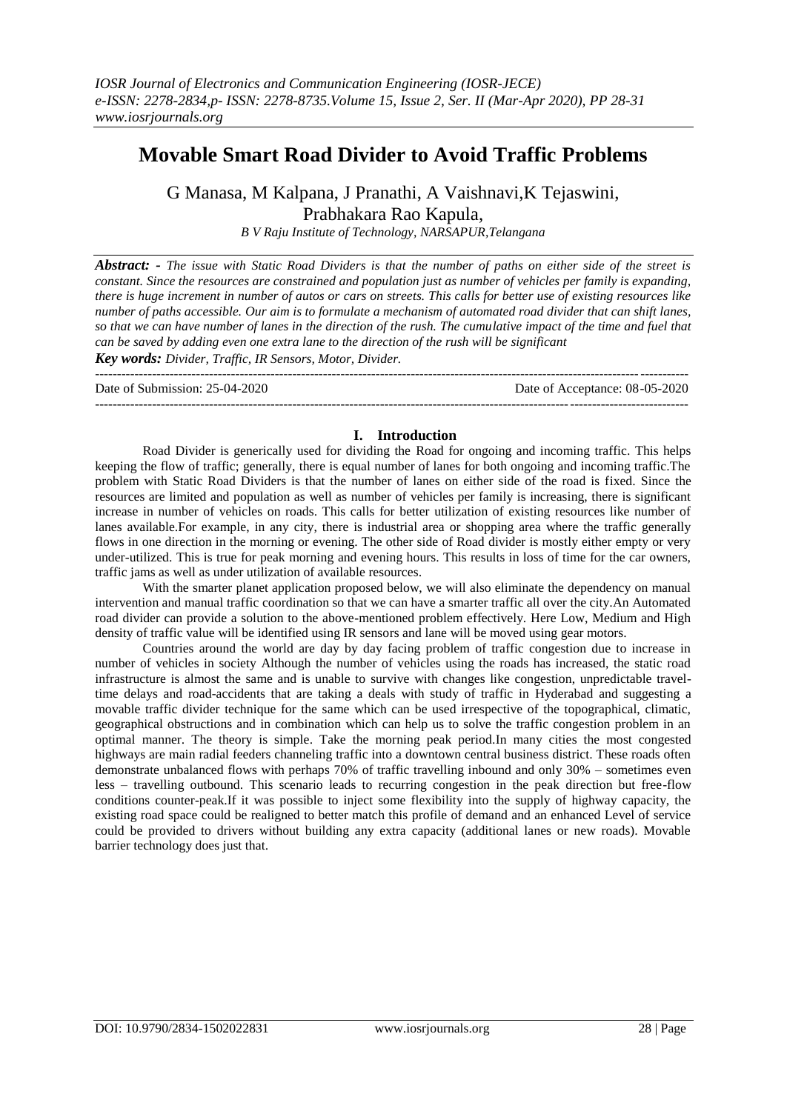# **Movable Smart Road Divider to Avoid Traffic Problems**

G Manasa, M Kalpana, J Pranathi, A Vaishnavi,K Tejaswini, Prabhakara Rao Kapula,

*B V Raju Institute of Technology, NARSAPUR,Telangana*

*Abstract: - The issue with Static Road Dividers is that the number of paths on either side of the street is constant. Since the resources are constrained and population just as number of vehicles per family is expanding, there is huge increment in number of autos or cars on streets. This calls for better use of existing resources like number of paths accessible. Our aim is to formulate a mechanism of automated road divider that can shift lanes, so that we can have number of lanes in the direction of the rush. The cumulative impact of the time and fuel that can be saved by adding even one extra lane to the direction of the rush will be significant*

*Key words: Divider, Traffic, IR Sensors, Motor, Divider.*

--------------------------------------------------------------------------------------------------------------------------------------- Date of Submission: 25-04-2020 Date of Acceptance: 08-05-2020 ---------------------------------------------------------------------------------------------------------------------------------------

# **I. Introduction**

Road Divider is generically used for dividing the Road for ongoing and incoming traffic. This helps keeping the flow of traffic; generally, there is equal number of lanes for both ongoing and incoming traffic.The problem with Static Road Dividers is that the number of lanes on either side of the road is fixed. Since the resources are limited and population as well as number of vehicles per family is increasing, there is significant increase in number of vehicles on roads. This calls for better utilization of existing resources like number of lanes available.For example, in any city, there is industrial area or shopping area where the traffic generally flows in one direction in the morning or evening. The other side of Road divider is mostly either empty or very under-utilized. This is true for peak morning and evening hours. This results in loss of time for the car owners, traffic jams as well as under utilization of available resources*.*

With the smarter planet application proposed below, we will also eliminate the dependency on manual intervention and manual traffic coordination so that we can have a smarter traffic all over the city.An Automated road divider can provide a solution to the above-mentioned problem effectively. Here Low, Medium and High density of traffic value will be identified using IR sensors and lane will be moved using gear motors.

Countries around the world are day by day facing problem of traffic congestion due to increase in number of vehicles in society Although the number of vehicles using the roads has increased, the static road infrastructure is almost the same and is unable to survive with changes like congestion, unpredictable traveltime delays and road-accidents that are taking a deals with study of traffic in Hyderabad and suggesting a movable traffic divider technique for the same which can be used irrespective of the topographical, climatic, geographical obstructions and in combination which can help us to solve the traffic congestion problem in an optimal manner. The theory is simple. Take the morning peak period.In many cities the most congested highways are main radial feeders channeling traffic into a downtown central business district. These roads often demonstrate unbalanced flows with perhaps 70% of traffic travelling inbound and only 30% – sometimes even less – travelling outbound. This scenario leads to recurring congestion in the peak direction but free-flow conditions counter-peak.If it was possible to inject some flexibility into the supply of highway capacity, the existing road space could be realigned to better match this profile of demand and an enhanced Level of service could be provided to drivers without building any extra capacity (additional lanes or new roads). Movable barrier technology does just that.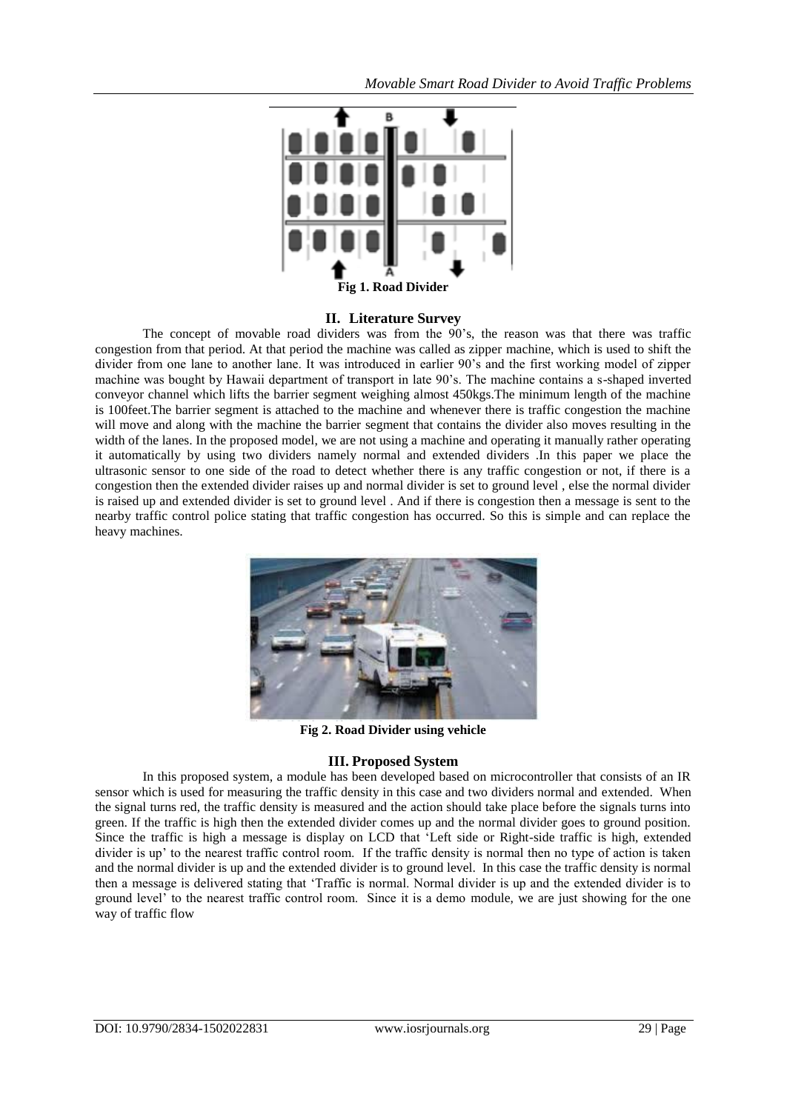

### **II. Literature Survey**

The concept of movable road dividers was from the 90"s, the reason was that there was traffic congestion from that period. At that period the machine was called as zipper machine, which is used to shift the divider from one lane to another lane. It was introduced in earlier 90"s and the first working model of zipper machine was bought by Hawaii department of transport in late 90"s. The machine contains a s-shaped inverted conveyor channel which lifts the barrier segment weighing almost 450kgs.The minimum length of the machine is 100feet.The barrier segment is attached to the machine and whenever there is traffic congestion the machine will move and along with the machine the barrier segment that contains the divider also moves resulting in the width of the lanes. In the proposed model, we are not using a machine and operating it manually rather operating it automatically by using two dividers namely normal and extended dividers .In this paper we place the ultrasonic sensor to one side of the road to detect whether there is any traffic congestion or not, if there is a congestion then the extended divider raises up and normal divider is set to ground level , else the normal divider is raised up and extended divider is set to ground level . And if there is congestion then a message is sent to the nearby traffic control police stating that traffic congestion has occurred. So this is simple and can replace the heavy machines.



**Fig 2. Road Divider using vehicle**

### **III. Proposed System**

In this proposed system, a module has been developed based on microcontroller that consists of an IR sensor which is used for measuring the traffic density in this case and two dividers normal and extended. When the signal turns red, the traffic density is measured and the action should take place before the signals turns into green. If the traffic is high then the extended divider comes up and the normal divider goes to ground position. Since the traffic is high a message is display on LCD that "Left side or Right-side traffic is high, extended divider is up' to the nearest traffic control room. If the traffic density is normal then no type of action is taken and the normal divider is up and the extended divider is to ground level. In this case the traffic density is normal then a message is delivered stating that "Traffic is normal. Normal divider is up and the extended divider is to ground level" to the nearest traffic control room. Since it is a demo module, we are just showing for the one way of traffic flow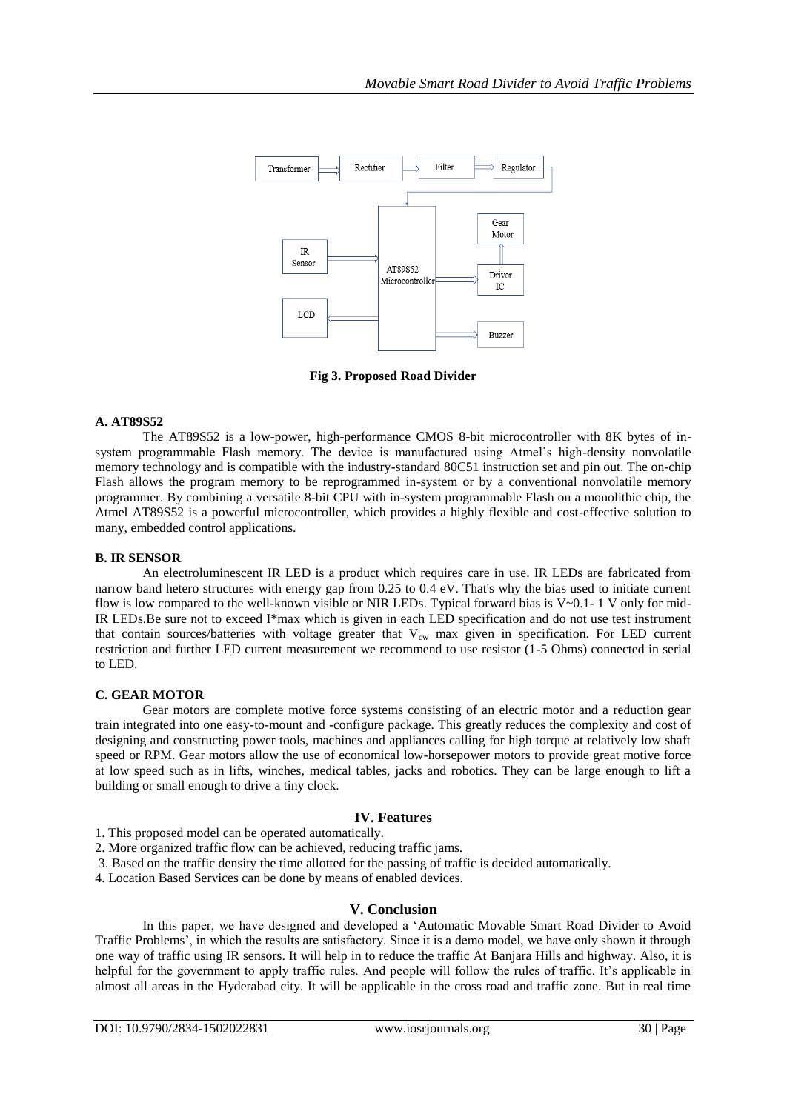

**Fig 3. Proposed Road Divider**

### **A. AT89S52**

The AT89S52 is a low-power, high-performance CMOS 8-bit microcontroller with 8K bytes of insystem programmable Flash memory. The device is manufactured using Atmel"s high-density nonvolatile memory technology and is compatible with the industry-standard 80C51 instruction set and pin out. The on-chip Flash allows the program memory to be reprogrammed in-system or by a conventional nonvolatile memory programmer. By combining a versatile 8-bit CPU with in-system programmable Flash on a monolithic chip, the Atmel AT89S52 is a powerful microcontroller, which provides a highly flexible and cost-effective solution to many, embedded control applications.

### **B. IR SENSOR**

An electroluminescent IR LED is a product which requires care in use. IR LEDs are fabricated from narrow band hetero structures with energy gap from 0.25 to 0.4 eV. That's why the bias used to initiate current flow is low compared to the well-known visible or NIR LEDs. Typical forward bias is  $V~0.1-1$  V only for mid-IR LEDs.Be sure not to exceed I\*max which is given in each LED specification and do not use test instrument that contain sources/batteries with voltage greater that  $V_{cw}$  max given in specification. For LED current restriction and further LED current measurement we recommend to use resistor (1-5 Ohms) connected in serial to LED.

### **C. GEAR MOTOR**

Gear motors are complete motive force systems consisting of an electric motor and a reduction gear train integrated into one easy-to-mount and -configure package. This greatly reduces the complexity and cost of designing and constructing power tools, machines and appliances calling for high torque at relatively low shaft speed or RPM. Gear motors allow the use of economical low-horsepower motors to provide great motive force at low speed such as in lifts, winches, medical tables, jacks and robotics. They can be large enough to lift a building or small enough to drive a tiny clock.

# **IV. Features**

1. This proposed model can be operated automatically.

- 2. More organized traffic flow can be achieved, reducing traffic jams.
- 3. Based on the traffic density the time allotted for the passing of traffic is decided automatically.
- 4. Location Based Services can be done by means of enabled devices.

### **V. Conclusion**

In this paper, we have designed and developed a "Automatic Movable Smart Road Divider to Avoid Traffic Problems", in which the results are satisfactory. Since it is a demo model, we have only shown it through one way of traffic using IR sensors. It will help in to reduce the traffic At Banjara Hills and highway. Also, it is helpful for the government to apply traffic rules. And people will follow the rules of traffic. It's applicable in almost all areas in the Hyderabad city. It will be applicable in the cross road and traffic zone. But in real time